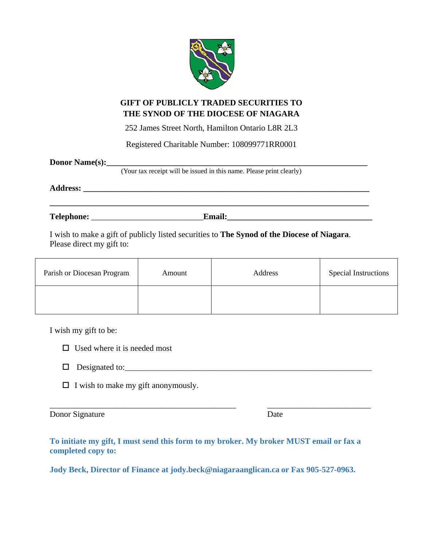

## **GIFT OF PUBLICLY TRADED SECURITIES TO THE SYNOD OF THE DIOCESE OF NIAGARA**

252 James Street North, Hamilton Ontario L8R 2L3

Registered Charitable Number: 108099771RR0001

| Donor Name(s):<br>(Your tax receipt will be issued in this name. Please print clearly) |
|----------------------------------------------------------------------------------------|
|                                                                                        |
| <b>Email:</b>                                                                          |

I wish to make a gift of publicly listed securities to **The Synod of the Diocese of Niagara**. Please direct my gift to:

| Parish or Diocesan Program | Amount | Address | <b>Special Instructions</b> |
|----------------------------|--------|---------|-----------------------------|
|                            |        |         |                             |

I wish my gift to be:

- $\Box$  Used where it is needed most
- $\Box$  Designated to:
- $\Box$  I wish to make my gift anonymously.

Donor Signature Date

**To initiate my gift, I must send this form to my broker. My broker MUST email or fax a completed copy to:** 

\_\_\_\_\_\_\_\_\_\_\_\_\_\_\_\_\_\_\_\_\_\_\_\_\_\_\_\_\_\_\_\_\_\_\_\_\_\_\_\_\_\_\_\_\_ \_\_\_\_\_\_\_\_\_\_\_\_\_\_\_\_\_\_\_\_\_\_\_\_\_

**Jody Beck, Director of Finance at jody.beck@niagaraanglican.ca or Fax 905-527-0963.**